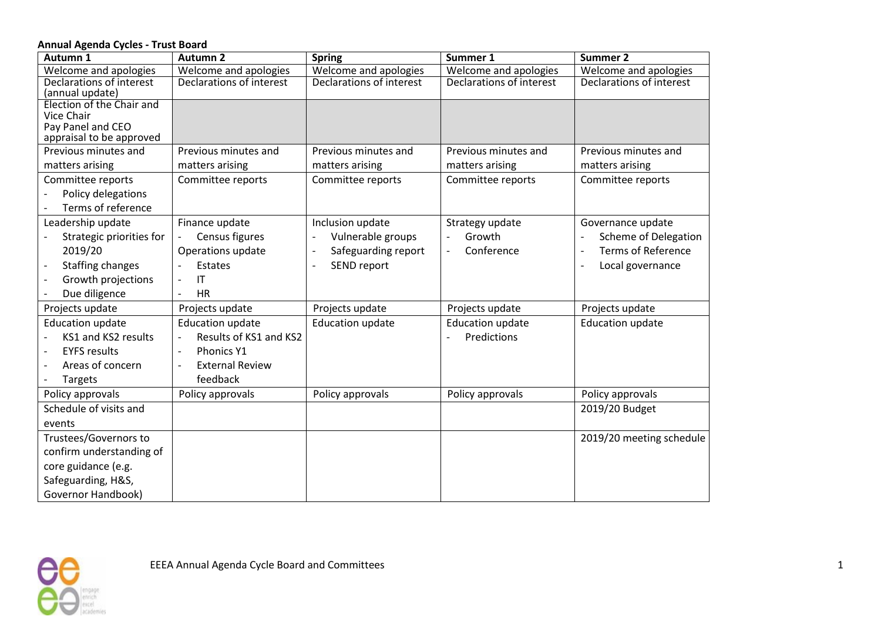## **Annual Agenda Cycles - Trust Board**

| Autumn 1                                | <b>Autumn 2</b>                                    | <b>Spring</b>            | Summer 1                      | Summer 2                                              |
|-----------------------------------------|----------------------------------------------------|--------------------------|-------------------------------|-------------------------------------------------------|
| Welcome and apologies                   | Welcome and apologies                              | Welcome and apologies    | Welcome and apologies         | Welcome and apologies                                 |
| Declarations of interest                | Declarations of interest                           | Declarations of interest | Declarations of interest      | Declarations of interest                              |
| (annual update)                         |                                                    |                          |                               |                                                       |
| Election of the Chair and<br>Vice Chair |                                                    |                          |                               |                                                       |
| Pay Panel and CEO                       |                                                    |                          |                               |                                                       |
| appraisal to be approved                |                                                    |                          |                               |                                                       |
| Previous minutes and                    | Previous minutes and                               | Previous minutes and     | Previous minutes and          | Previous minutes and                                  |
| matters arising                         | matters arising                                    | matters arising          | matters arising               | matters arising                                       |
| Committee reports                       | Committee reports                                  | Committee reports        | Committee reports             | Committee reports                                     |
| Policy delegations                      |                                                    |                          |                               |                                                       |
| Terms of reference                      |                                                    |                          |                               |                                                       |
| Leadership update                       | Finance update                                     | Inclusion update         | Strategy update               | Governance update                                     |
| Strategic priorities for                | Census figures                                     | Vulnerable groups        | Growth                        | Scheme of Delegation                                  |
| 2019/20                                 | Operations update                                  | Safeguarding report      | Conference<br>$\overline{a}$  | <b>Terms of Reference</b><br>$\overline{\phantom{a}}$ |
| Staffing changes                        | <b>Estates</b>                                     | SEND report              |                               | Local governance<br>$\overline{\phantom{a}}$          |
| Growth projections                      | $\mathsf{I}\mathsf{T}$<br>$\overline{\phantom{a}}$ |                          |                               |                                                       |
| Due diligence                           | <b>HR</b><br>$\overline{\phantom{a}}$              |                          |                               |                                                       |
| Projects update                         | Projects update                                    | Projects update          | Projects update               | Projects update                                       |
| <b>Education update</b>                 | <b>Education update</b>                            | <b>Education update</b>  | <b>Education update</b>       | <b>Education update</b>                               |
| KS1 and KS2 results                     | Results of KS1 and KS2<br>$\overline{\phantom{a}}$ |                          | Predictions<br>$\blacksquare$ |                                                       |
| <b>EYFS results</b>                     | Phonics Y1<br>$\overline{\phantom{a}}$             |                          |                               |                                                       |
| Areas of concern                        | <b>External Review</b>                             |                          |                               |                                                       |
| Targets                                 | feedback                                           |                          |                               |                                                       |
| Policy approvals                        | Policy approvals                                   | Policy approvals         | Policy approvals              | Policy approvals                                      |
| Schedule of visits and                  |                                                    |                          |                               | 2019/20 Budget                                        |
| events                                  |                                                    |                          |                               |                                                       |
| Trustees/Governors to                   |                                                    |                          |                               | 2019/20 meeting schedule                              |
| confirm understanding of                |                                                    |                          |                               |                                                       |
| core guidance (e.g.                     |                                                    |                          |                               |                                                       |
| Safeguarding, H&S,                      |                                                    |                          |                               |                                                       |
| Governor Handbook)                      |                                                    |                          |                               |                                                       |

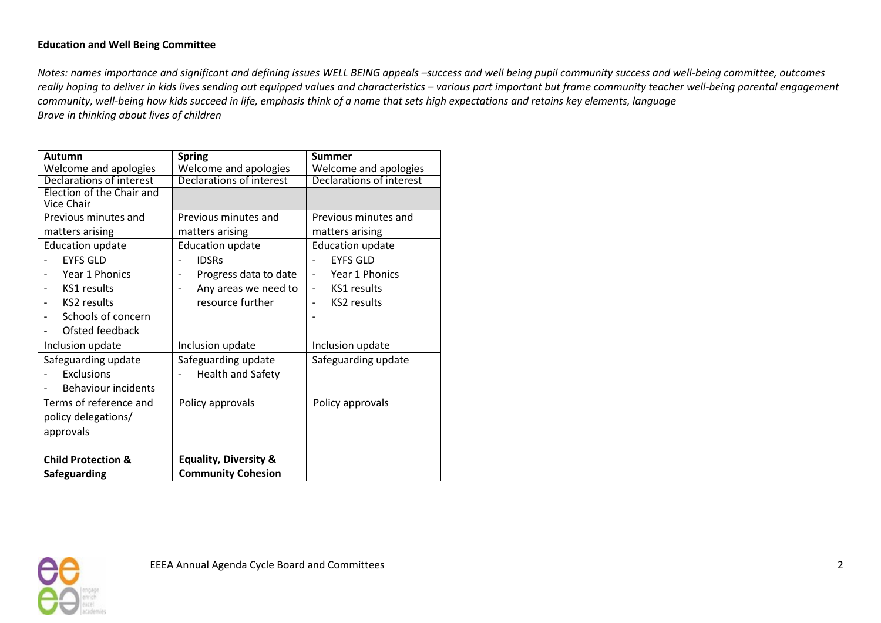## **Education and Well Being Committee**

*Notes: names importance and significant and defining issues WELL BEING appeals -success and well being pupil community success and well-being committee, outcomes* really hoping to deliver in kids lives sending out equipped values and characteristics - various part important but frame community teacher well-being parental engagement *community, well-being how kids succeed in life, emphasis think of a name that sets high expectations and retains key elements, language Brave in thinking about lives of children*

| Autumn                        | <b>Spring</b>                                    | <b>Summer</b>                              |  |
|-------------------------------|--------------------------------------------------|--------------------------------------------|--|
| Welcome and apologies         | Welcome and apologies                            | Welcome and apologies                      |  |
| Declarations of interest      | Declarations of interest                         | <b>Declarations of interest</b>            |  |
| Election of the Chair and     |                                                  |                                            |  |
| Vice Chair                    |                                                  |                                            |  |
| Previous minutes and          | Previous minutes and                             | Previous minutes and                       |  |
| matters arising               | matters arising                                  | matters arising                            |  |
| <b>Education update</b>       | <b>Education update</b>                          | <b>Education update</b>                    |  |
| <b>EYES GLD</b>               | <b>IDSRs</b>                                     | <b>EYFS GLD</b>                            |  |
| Year 1 Phonics                | Progress data to date<br>$\overline{a}$          | Year 1 Phonics<br>$\overline{\phantom{a}}$ |  |
| KS1 results                   | Any areas we need to<br>$\overline{\phantom{0}}$ | KS1 results<br>$\qquad \qquad -$           |  |
| KS2 results                   | resource further                                 | <b>KS2</b> results                         |  |
| Schools of concern            |                                                  |                                            |  |
| Ofsted feedback               |                                                  |                                            |  |
| Inclusion update              | Inclusion update                                 | Inclusion update                           |  |
| Safeguarding update           | Safeguarding update                              | Safeguarding update                        |  |
| <b>Exclusions</b>             | <b>Health and Safety</b>                         |                                            |  |
| <b>Behaviour incidents</b>    |                                                  |                                            |  |
| Terms of reference and        | Policy approvals                                 | Policy approvals                           |  |
| policy delegations/           |                                                  |                                            |  |
| approvals                     |                                                  |                                            |  |
|                               |                                                  |                                            |  |
| <b>Child Protection &amp;</b> | <b>Equality, Diversity &amp;</b>                 |                                            |  |
| <b>Safeguarding</b>           | <b>Community Cohesion</b>                        |                                            |  |
|                               |                                                  |                                            |  |

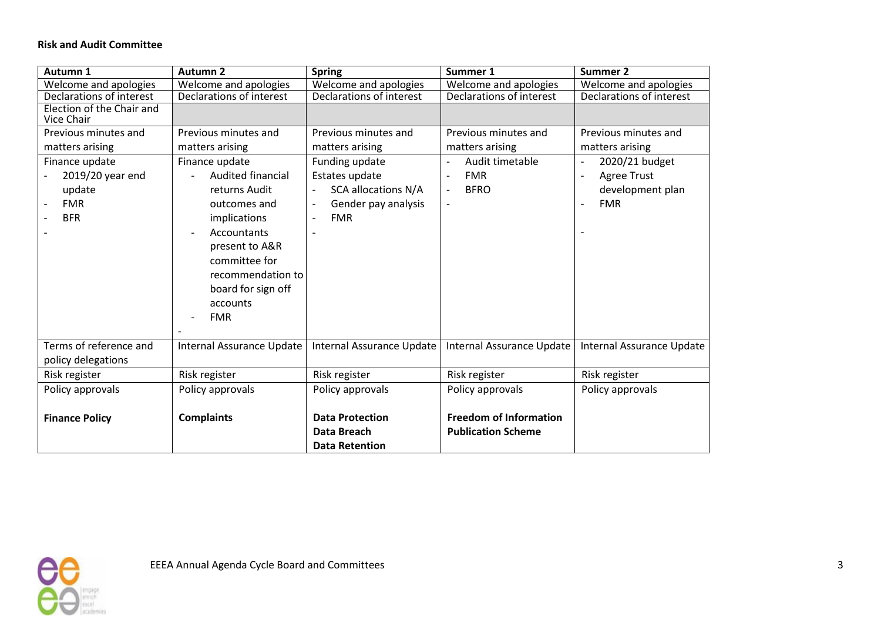## **Risk and Audit Committee**

| Autumn 1                                                                 | <b>Autumn 2</b>                                                                                                                                                                         | <b>Spring</b>                                                                                       | Summer 1                                                                                                                         | <b>Summer 2</b>                                                                          |
|--------------------------------------------------------------------------|-----------------------------------------------------------------------------------------------------------------------------------------------------------------------------------------|-----------------------------------------------------------------------------------------------------|----------------------------------------------------------------------------------------------------------------------------------|------------------------------------------------------------------------------------------|
| Welcome and apologies                                                    | Welcome and apologies                                                                                                                                                                   | Welcome and apologies                                                                               | Welcome and apologies                                                                                                            | Welcome and apologies                                                                    |
| Declarations of interest                                                 | Declarations of interest                                                                                                                                                                | Declarations of interest                                                                            | Declarations of interest                                                                                                         | Declarations of interest                                                                 |
| Election of the Chair and<br>Vice Chair                                  |                                                                                                                                                                                         |                                                                                                     |                                                                                                                                  |                                                                                          |
| Previous minutes and                                                     | Previous minutes and                                                                                                                                                                    | Previous minutes and                                                                                | Previous minutes and                                                                                                             | Previous minutes and                                                                     |
| matters arising                                                          | matters arising                                                                                                                                                                         | matters arising                                                                                     | matters arising                                                                                                                  | matters arising                                                                          |
| Finance update<br>2019/20 year end<br>update<br><b>FMR</b><br><b>BFR</b> | Finance update<br>Audited financial<br>returns Audit<br>outcomes and<br>implications<br>Accountants<br>$\overline{\phantom{a}}$<br>present to A&R<br>committee for<br>recommendation to | Funding update<br>Estates update<br><b>SCA allocations N/A</b><br>Gender pay analysis<br><b>FMR</b> | Audit timetable<br><b>FMR</b><br>$\overline{\phantom{a}}$<br><b>BFRO</b><br>$\overline{\phantom{a}}$<br>$\overline{\phantom{a}}$ | 2020/21 budget<br><b>Agree Trust</b><br>$\overline{a}$<br>development plan<br><b>FMR</b> |
| Terms of reference and                                                   | board for sign off<br>accounts<br><b>FMR</b>                                                                                                                                            |                                                                                                     |                                                                                                                                  |                                                                                          |
| policy delegations                                                       | Internal Assurance Update                                                                                                                                                               | Internal Assurance Update                                                                           | Internal Assurance Update                                                                                                        | Internal Assurance Update                                                                |
| Risk register                                                            | Risk register                                                                                                                                                                           | Risk register                                                                                       | Risk register                                                                                                                    | Risk register                                                                            |
| Policy approvals                                                         | Policy approvals                                                                                                                                                                        | Policy approvals                                                                                    | Policy approvals                                                                                                                 | Policy approvals                                                                         |
| <b>Finance Policy</b>                                                    | <b>Complaints</b>                                                                                                                                                                       | <b>Data Protection</b><br>Data Breach<br><b>Data Retention</b>                                      | <b>Freedom of Information</b><br><b>Publication Scheme</b>                                                                       |                                                                                          |